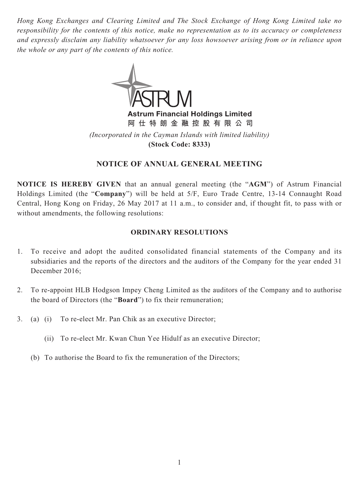*Hong Kong Exchanges and Clearing Limited and The Stock Exchange of Hong Kong Limited take no responsibility for the contents of this notice, make no representation as to its accuracy or completeness and expressly disclaim any liability whatsoever for any loss howsoever arising from or in reliance upon the whole or any part of the contents of this notice.*



**Astrum Financial Holdings Limited**

**阿仕特朗金融控股有限公司**

*(Incorporated in the Cayman Islands with limited liability)* **(Stock Code: 8333)**

# **NOTICE OF ANNUAL GENERAL MEETING**

**NOTICE IS HEREBY GIVEN** that an annual general meeting (the "**AGM**") of Astrum Financial Holdings Limited (the "**Company**") will be held at 5/F, Euro Trade Centre, 13-14 Connaught Road Central, Hong Kong on Friday, 26 May 2017 at 11 a.m., to consider and, if thought fit, to pass with or without amendments, the following resolutions:

### **ORDINARY RESOLUTIONS**

- 1. To receive and adopt the audited consolidated financial statements of the Company and its subsidiaries and the reports of the directors and the auditors of the Company for the year ended 31 December 2016;
- 2. To re-appoint HLB Hodgson Impey Cheng Limited as the auditors of the Company and to authorise the board of Directors (the "**Board**") to fix their remuneration;
- 3. (a) (i) To re-elect Mr. Pan Chik as an executive Director;
	- (ii) To re-elect Mr. Kwan Chun Yee Hidulf as an executive Director;
	- (b) To authorise the Board to fix the remuneration of the Directors;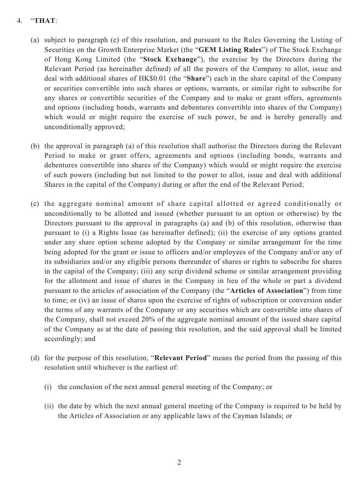## 4. "**THAT**:

- (a) subject to paragraph (c) of this resolution, and pursuant to the Rules Governing the Listing of Securities on the Growth Enterprise Market (the "**GEM Listing Rules**") of The Stock Exchange of Hong Kong Limited (the "**Stock Exchange**"), the exercise by the Directors during the Relevant Period (as hereinafter defined) of all the powers of the Company to allot, issue and deal with additional shares of HK\$0.01 (the "**Share**") each in the share capital of the Company or securities convertible into such shares or options, warrants, or similar right to subscribe for any shares or convertible securities of the Company and to make or grant offers, agreements and options (including bonds, warrants and debentures convertible into shares of the Company) which would or might require the exercise of such power, be and is hereby generally and unconditionally approved;
- (b) the approval in paragraph (a) of this resolution shall authorise the Directors during the Relevant Period to make or grant offers, agreements and options (including bonds, warrants and debentures convertible into shares of the Company) which would or might require the exercise of such powers (including but not limited to the power to allot, issue and deal with additional Shares in the capital of the Company) during or after the end of the Relevant Period;
- (c) the aggregate nominal amount of share capital allotted or agreed conditionally or unconditionally to be allotted and issued (whether pursuant to an option or otherwise) by the Directors pursuant to the approval in paragraphs (a) and (b) of this resolution, otherwise than pursuant to (i) a Rights Issue (as hereinafter defined); (ii) the exercise of any options granted under any share option scheme adopted by the Company or similar arrangement for the time being adopted for the grant or issue to officers and/or employees of the Company and/or any of its subsidiaries and/or any eligible persons thereunder of shares or rights to subscribe for shares in the capital of the Company; (iii) any scrip dividend scheme or similar arrangement providing for the allotment and issue of shares in the Company in lieu of the whole or part a dividend pursuant to the articles of association of the Company (the "**Articles of Association**") from time to time; or (iv) an issue of shares upon the exercise of rights of subscription or conversion under the terms of any warrants of the Company or any securities which are convertible into shares of the Company, shall not exceed 20% of the aggregate nominal amount of the issued share capital of the Company as at the date of passing this resolution, and the said approval shall be limited accordingly; and
- (d) for the purpose of this resolution, "**Relevant Period**" means the period from the passing of this resolution until whichever is the earliest of:
	- (i) the conclusion of the next annual general meeting of the Company; or
	- (ii) the date by which the next annual general meeting of the Company is required to be held by the Articles of Association or any applicable laws of the Cayman Islands; or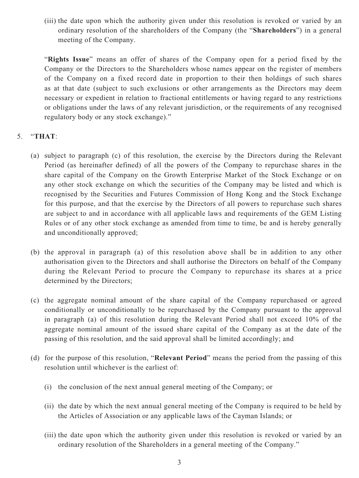(iii) the date upon which the authority given under this resolution is revoked or varied by an ordinary resolution of the shareholders of the Company (the "**Shareholders**") in a general meeting of the Company.

"**Rights Issue**" means an offer of shares of the Company open for a period fixed by the Company or the Directors to the Shareholders whose names appear on the register of members of the Company on a fixed record date in proportion to their then holdings of such shares as at that date (subject to such exclusions or other arrangements as the Directors may deem necessary or expedient in relation to fractional entitlements or having regard to any restrictions or obligations under the laws of any relevant jurisdiction, or the requirements of any recognised regulatory body or any stock exchange)."

# 5. "**THAT**:

- (a) subject to paragraph (c) of this resolution, the exercise by the Directors during the Relevant Period (as hereinafter defined) of all the powers of the Company to repurchase shares in the share capital of the Company on the Growth Enterprise Market of the Stock Exchange or on any other stock exchange on which the securities of the Company may be listed and which is recognised by the Securities and Futures Commission of Hong Kong and the Stock Exchange for this purpose, and that the exercise by the Directors of all powers to repurchase such shares are subject to and in accordance with all applicable laws and requirements of the GEM Listing Rules or of any other stock exchange as amended from time to time, be and is hereby generally and unconditionally approved;
- (b) the approval in paragraph (a) of this resolution above shall be in addition to any other authorisation given to the Directors and shall authorise the Directors on behalf of the Company during the Relevant Period to procure the Company to repurchase its shares at a price determined by the Directors;
- (c) the aggregate nominal amount of the share capital of the Company repurchased or agreed conditionally or unconditionally to be repurchased by the Company pursuant to the approval in paragraph (a) of this resolution during the Relevant Period shall not exceed 10% of the aggregate nominal amount of the issued share capital of the Company as at the date of the passing of this resolution, and the said approval shall be limited accordingly; and
- (d) for the purpose of this resolution, "**Relevant Period**" means the period from the passing of this resolution until whichever is the earliest of:
	- (i) the conclusion of the next annual general meeting of the Company; or
	- (ii) the date by which the next annual general meeting of the Company is required to be held by the Articles of Association or any applicable laws of the Cayman Islands; or
	- (iii) the date upon which the authority given under this resolution is revoked or varied by an ordinary resolution of the Shareholders in a general meeting of the Company."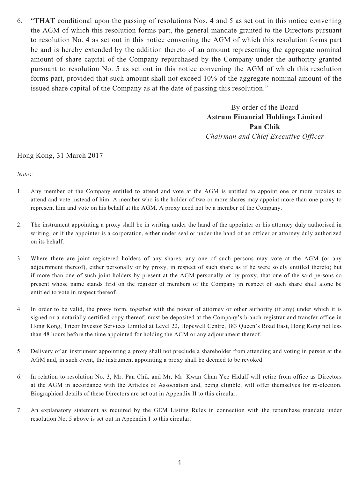6. "**THAT** conditional upon the passing of resolutions Nos. 4 and 5 as set out in this notice convening the AGM of which this resolution forms part, the general mandate granted to the Directors pursuant to resolution No. 4 as set out in this notice convening the AGM of which this resolution forms part be and is hereby extended by the addition thereto of an amount representing the aggregate nominal amount of share capital of the Company repurchased by the Company under the authority granted pursuant to resolution No. 5 as set out in this notice convening the AGM of which this resolution forms part, provided that such amount shall not exceed 10% of the aggregate nominal amount of the issued share capital of the Company as at the date of passing this resolution."

> By order of the Board **Astrum Financial Holdings Limited Pan Chik** *Chairman and Chief Executive Officer*

#### Hong Kong, 31 March 2017

*Notes:*

- 1. Any member of the Company entitled to attend and vote at the AGM is entitled to appoint one or more proxies to attend and vote instead of him. A member who is the holder of two or more shares may appoint more than one proxy to represent him and vote on his behalf at the AGM. A proxy need not be a member of the Company.
- 2. The instrument appointing a proxy shall be in writing under the hand of the appointer or his attorney duly authorised in writing, or if the appointer is a corporation, either under seal or under the hand of an officer or attorney duly authorized on its behalf.
- 3. Where there are joint registered holders of any shares, any one of such persons may vote at the AGM (or any adjournment thereof), either personally or by proxy, in respect of such share as if he were solely entitled thereto; but if more than one of such joint holders by present at the AGM personally or by proxy, that one of the said persons so present whose name stands first on the register of members of the Company in respect of such share shall alone be entitled to vote in respect thereof.
- 4. In order to be valid, the proxy form, together with the power of attorney or other authority (if any) under which it is signed or a notarially certified copy thereof, must be deposited at the Company's branch registrar and transfer office in Hong Kong, Tricor Investor Services Limited at Level 22, Hopewell Centre, 183 Queen's Road East, Hong Kong not less than 48 hours before the time appointed for holding the AGM or any adjournment thereof.
- 5. Delivery of an instrument appointing a proxy shall not preclude a shareholder from attending and voting in person at the AGM and, in such event, the instrument appointing a proxy shall be deemed to be revoked.
- 6. In relation to resolution No. 3, Mr. Pan Chik and Mr. Mr. Kwan Chun Yee Hidulf will retire from office as Directors at the AGM in accordance with the Articles of Association and, being eligible, will offer themselves for re-election. Biographical details of these Directors are set out in Appendix II to this circular.
- 7. An explanatory statement as required by the GEM Listing Rules in connection with the repurchase mandate under resolution No. 5 above is set out in Appendix I to this circular.